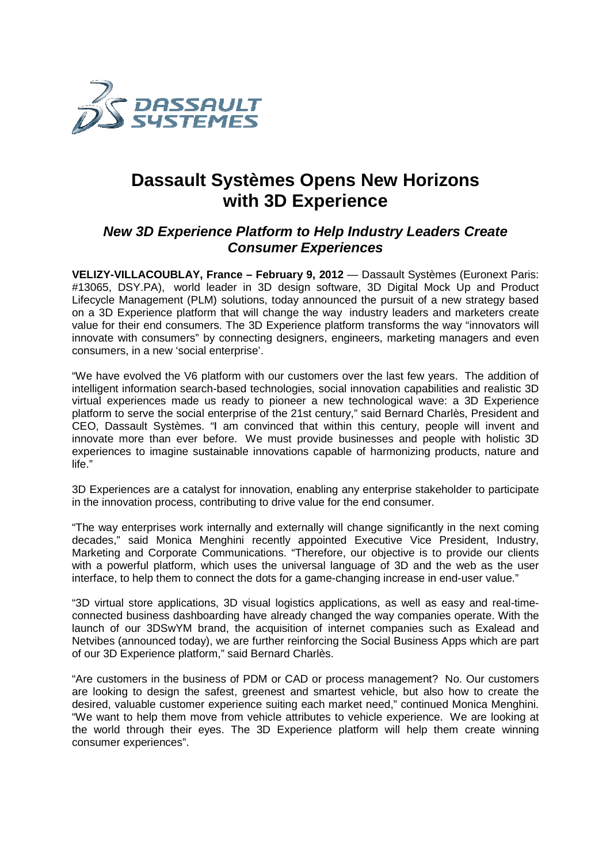

## **Dassault Systèmes Opens New Horizons with 3D Experience**

## **New 3D Experience Platform to Help Industry Leaders Create Consumer Experiences**

VELIZY-VILLACOUBLAY, France - February 9, 2012 — Dassault Systèmes (Euronext Paris: #13065, DSY.PA), world leader in 3D design software, 3D Digital Mock Up and Product Lifecycle Management (PLM) solutions, today announced the pursuit of a new strategy based on a 3D Experience platform that will change the way industry leaders value for their end consumers. The 3D Experience platform transforms the way "innovators will innovate with consumers" by connecting designers, engineers, marketing managers and even consumers, in a new 'social enterprise'.

"We have evolved the V6 platform with our customers over the last few years. The addition of "We have evolved the V6 platform with our customers over the last few years. The addition of<br>intelligent information search-based technologies, social innovation capabilities and realistic 3D virtual experiences made us ready to pioneer a new technological wave: a 3D Experience platform to serve the social enterprise of the 21st century," said Bernard Charlès, President and CEO, Dassault Systèmes. "I am convinced that within this century, people will invent and innovate more than ever before. We must provide businesses and peo experiences to imagine sustainable innovations capable of harmonizing products, nature and life." FELIZY-VIILLACOUBLAY, France – February 9, 2012 — Dassault Systimes (Euronext Paris:<br>F13055, DSY.PA), world leader in 3D design software, 3D Digital Mock Up and Product<br>ifecycle Management (PLM) solutions, today amounced t " said Bernard Charlès, President and<br>this century, people will invent and<br>sinesses and people with holistic 3D

3D Experiences are a catalyst for innovation, enabling any enterprise stakeholder to participate in the innovation process, contributing to drive value for the end consumer. sustainable innovations capable of harmonizing products, nature and<br>talyst for innovation, enabling any enterprise stakeholder to participate<br>i, contributing to drive value for the end consumer.<br>rk internally and externall

"The way enterprises work internally and externally will change significantly in decades," said Monica Menghini recently appointed Executive Vice P President, Industry, Marketing and Corporate Communications. "Therefore, our objective is to provide our clients with a powerful platform, which uses the universal language of 3D and the web as the user interface, to help them to connect the dots for a game-changing increase in end-user value."

"3D virtual store applications, 3D visual logistics applications, as well as easy and real-timeconnected business dashboarding have already changed the way companies operate. With the connected business dashboarding have already changed the way companies operate. With the<br>launch of our 3DSwYM brand, the acquisition of internet companies such as Exalead and Netvibes (announced today), we are further reinforcing the Social Business Apps which are part of our 3D Experience platform," said Bernard Charlès.

"Are customers in the business of PDM or CAD or process management? No. Our customers are looking to design the safest, greenest and smartest vehicle, but also how to create the desired, valuable customer experience suiting each market need," continued Monica Menghini. "We want to help them move from vehicle attributes to vehicle experience. We are looking at the world through their eyes. The 3D Experience platform will help them create winning consumer experiences".